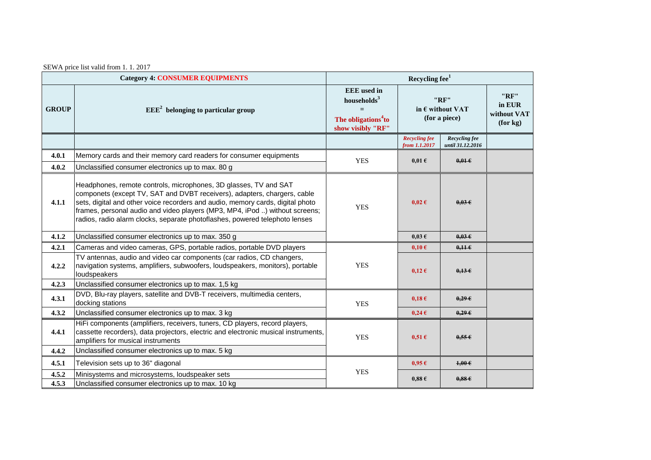SEWA price list valid from 1. 1. 2017

| <b>Category 4: CONSUMER EQUIPMENTS</b> |                                                                                                                                                                                                                                                                                                                                                                                              | Recycling fee <sup>1</sup>                                                                          |                                                    |                                   |                                           |  |
|----------------------------------------|----------------------------------------------------------------------------------------------------------------------------------------------------------------------------------------------------------------------------------------------------------------------------------------------------------------------------------------------------------------------------------------------|-----------------------------------------------------------------------------------------------------|----------------------------------------------------|-----------------------------------|-------------------------------------------|--|
| <b>GROUP</b>                           | $EEE2$ belonging to particular group                                                                                                                                                                                                                                                                                                                                                         | <b>EEE</b> used in<br>households $3$<br>$=$<br>The obligations <sup>4</sup> to<br>show visibly "RF" | "RF"<br>in $\epsilon$ without VAT<br>(for a piece) |                                   | "RF"<br>in EUR<br>without VAT<br>(for kg) |  |
|                                        |                                                                                                                                                                                                                                                                                                                                                                                              |                                                                                                     | <b>Recycling fee</b><br>from 1.1.2017              | Recycling fee<br>until 31.12.2016 |                                           |  |
| 4.0.1                                  | Memory cards and their memory card readers for consumer equipments                                                                                                                                                                                                                                                                                                                           | <b>YES</b>                                                                                          | $0.01 \text{ }\epsilon$                            | $0.01 \in$                        |                                           |  |
| 4.0.2                                  | Unclassified consumer electronics up to max. 80 g                                                                                                                                                                                                                                                                                                                                            |                                                                                                     |                                                    |                                   |                                           |  |
| 4.1.1                                  | Headphones, remote controls, microphones, 3D glasses, TV and SAT<br>componets (except TV, SAT and DVBT receivers), adapters, chargers, cable<br>sets, digital and other voice recorders and audio, memory cards, digital photo<br>frames, personal audio and video players (MP3, MP4, iPod ) without screens;<br>radios, radio alarm clocks, separate photoflashes, powered telephoto lenses | <b>YES</b>                                                                                          | $0.02 \epsilon$                                    | 0.03E                             |                                           |  |
| 4.1.2                                  | Unclassified consumer electronics up to max. 350 g                                                                                                                                                                                                                                                                                                                                           |                                                                                                     | $0.03 \text{ }\epsilon$                            | $0.03 \text{ } \in$               |                                           |  |
| 4.2.1                                  | Cameras and video cameras, GPS, portable radios, portable DVD players                                                                                                                                                                                                                                                                                                                        |                                                                                                     | $0,10 \in$                                         | 0,116                             |                                           |  |
| 4.2.2                                  | TV antennas, audio and video car components (car radios, CD changers,<br>navigation systems, amplifiers, subwoofers, loudspeakers, monitors), portable<br>loudspeakers                                                                                                                                                                                                                       | <b>YES</b>                                                                                          | $0,12 \in$                                         | $0.13 \epsilon$                   |                                           |  |
| 4.2.3                                  | Unclassified consumer electronics up to max. 1,5 kg                                                                                                                                                                                                                                                                                                                                          |                                                                                                     |                                                    |                                   |                                           |  |
| 4.3.1                                  | DVD, Blu-ray players, satellite and DVB-T receivers, multimedia centers,<br>docking stations                                                                                                                                                                                                                                                                                                 | <b>YES</b>                                                                                          | $0,18 \in$                                         | $0.29 \epsilon$                   |                                           |  |
| 4.3.2                                  | Unclassified consumer electronics up to max. 3 kg                                                                                                                                                                                                                                                                                                                                            |                                                                                                     | $0,24 \in$                                         | $0.29 \in$                        |                                           |  |
| 4.4.1                                  | HiFi components (amplifiers, receivers, tuners, CD players, record players,<br>cassette recorders), data projectors, electric and electronic musical instruments,<br>amplifiers for musical instruments                                                                                                                                                                                      | <b>YES</b>                                                                                          | $0,51 \in$                                         | $0.55 \in$                        |                                           |  |
| 4.4.2                                  | Unclassified consumer electronics up to max. 5 kg                                                                                                                                                                                                                                                                                                                                            |                                                                                                     |                                                    |                                   |                                           |  |
| 4.5.1                                  | Television sets up to 36" diagonal                                                                                                                                                                                                                                                                                                                                                           | <b>YES</b>                                                                                          | 0.95E                                              | $1,00 \in$                        |                                           |  |
| 4.5.2<br>4.5.3                         | Minisystems and microsystems, loudspeaker sets<br>Unclassified consumer electronics up to max. 10 kg                                                                                                                                                                                                                                                                                         |                                                                                                     | 0.88E                                              | 0.88E                             |                                           |  |